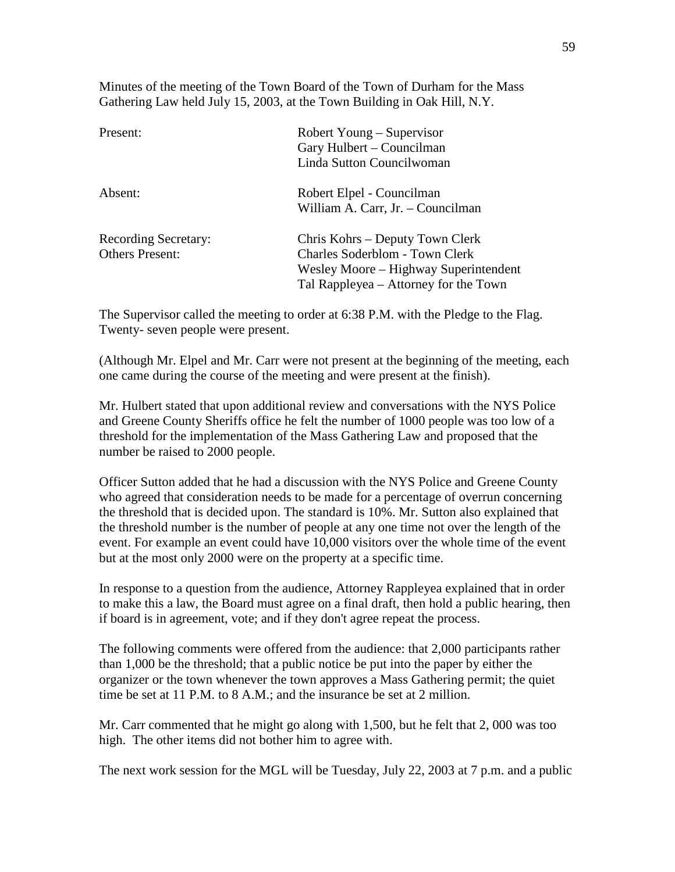Minutes of the meeting of the Town Board of the Town of Durham for the Mass Gathering Law held July 15, 2003, at the Town Building in Oak Hill, N.Y.

| Present:                                              | Robert Young – Supervisor<br>Gary Hulbert – Councilman<br>Linda Sutton Councilwoman                                                                        |
|-------------------------------------------------------|------------------------------------------------------------------------------------------------------------------------------------------------------------|
| Absent:                                               | Robert Elpel - Councilman<br>William A. Carr, Jr. - Councilman                                                                                             |
| <b>Recording Secretary:</b><br><b>Others Present:</b> | Chris Kohrs – Deputy Town Clerk<br><b>Charles Soderblom - Town Clerk</b><br>Wesley Moore – Highway Superintendent<br>Tal Rappleyea – Attorney for the Town |

The Supervisor called the meeting to order at 6:38 P.M. with the Pledge to the Flag. Twenty- seven people were present.

(Although Mr. Elpel and Mr. Carr were not present at the beginning of the meeting, each one came during the course of the meeting and were present at the finish).

Mr. Hulbert stated that upon additional review and conversations with the NYS Police and Greene County Sheriffs office he felt the number of 1000 people was too low of a threshold for the implementation of the Mass Gathering Law and proposed that the number be raised to 2000 people.

Officer Sutton added that he had a discussion with the NYS Police and Greene County who agreed that consideration needs to be made for a percentage of overrun concerning the threshold that is decided upon. The standard is 10%. Mr. Sutton also explained that the threshold number is the number of people at any one time not over the length of the event. For example an event could have 10,000 visitors over the whole time of the event but at the most only 2000 were on the property at a specific time.

In response to a question from the audience, Attorney Rappleyea explained that in order to make this a law, the Board must agree on a final draft, then hold a public hearing, then if board is in agreement, vote; and if they don't agree repeat the process.

The following comments were offered from the audience: that 2,000 participants rather than 1,000 be the threshold; that a public notice be put into the paper by either the organizer or the town whenever the town approves a Mass Gathering permit; the quiet time be set at 11 P.M. to 8 A.M.; and the insurance be set at 2 million.

Mr. Carr commented that he might go along with 1,500, but he felt that 2, 000 was too high. The other items did not bother him to agree with.

The next work session for the MGL will be Tuesday, July 22, 2003 at 7 p.m. and a public